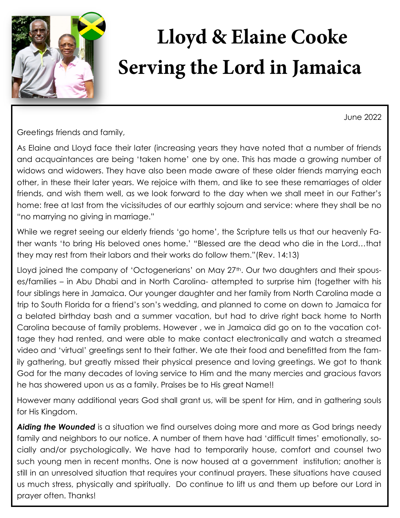

## **Lloyd & Elaine Cooke Serving the Lord in Jamaica**

June 2022

Greetings friends and family,

As Elaine and Lloyd face their later (increasing years they have noted that a number of friends and acquaintances are being 'taken home' one by one. This has made a growing number of widows and widowers. They have also been made aware of these older friends marrying each other, in these their later years. We rejoice with them, and like to see these remarriages of older friends, and wish them well, as we look forward to the day when we shall meet in our Father's home: free at last from the vicissitudes of our earthly sojourn and service: where they shall be no "no marrying no giving in marriage."

While we regret seeing our elderly friends 'go home', the Scripture tells us that our heavenly Father wants 'to bring His beloved ones home.' "Blessed are the dead who die in the Lord…that they may rest from their labors and their works do follow them."(Rev. 14:13)

Lloyd joined the company of 'Octogenerians' on May 27<sup>th</sup>. Our two daughters and their spouses/families – in Abu Dhabi and in North Carolina- attempted to surprise him (together with his four siblings here in Jamaica. Our younger daughter and her family from North Carolina made a trip to South Florida for a friend's son's wedding, and planned to come on down to Jamaica for a belated birthday bash and a summer vacation, but had to drive right back home to North Carolina because of family problems. However , we in Jamaica did go on to the vacation cottage they had rented, and were able to make contact electronically and watch a streamed video and 'virtual' greetings sent to their father. We ate their food and benefitted from the family gathering, but greatly missed their physical presence and loving greetings. We got to thank God for the many decades of loving service to Him and the many mercies and gracious favors he has showered upon us as a family. Praises be to His great Name!!

However many additional years God shall grant us, will be spent for Him, and in gathering souls for His Kingdom.

**Aiding the Wounded** is a situation we find ourselves doing more and more as God brings needy family and neighbors to our notice. A number of them have had 'difficult times' emotionally, socially and/or psychologically. We have had to temporarily house, comfort and counsel two such young men in recent months. One is now housed at a government institution; another is still in an unresolved situation that requires your continual prayers. These situations have caused us much stress, physically and spiritually. Do continue to lift us and them up before our Lord in prayer often. Thanks!